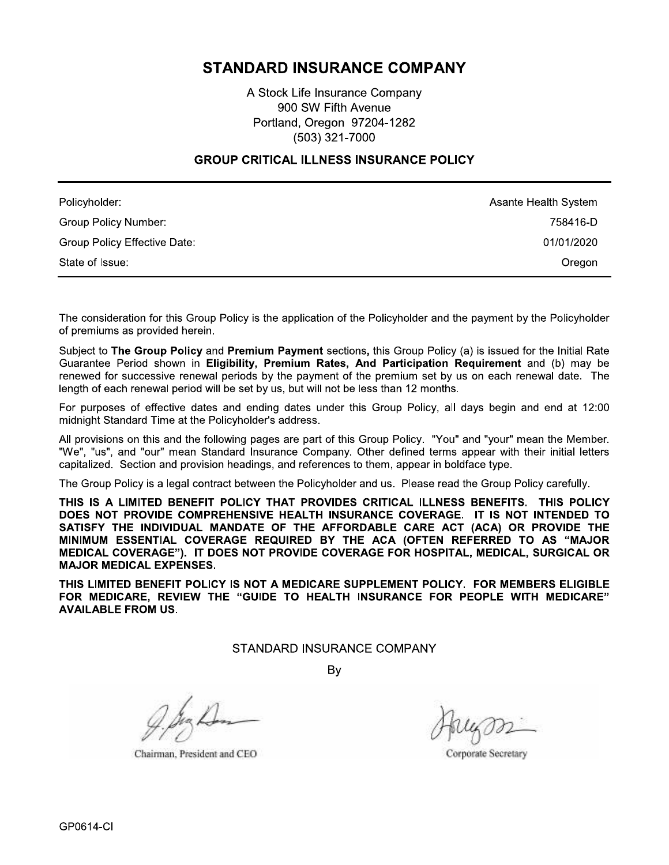# **STANDARD INSURANCE COMPANY**

A Stock Life Insurance Company 900 SW Fifth Avenue Portland, Oregon 97204-1282 (503) 321-7000

#### **GROUP CRITICAL ILLNESS INSURANCE POLICY**

| Policyholder:                | Asante Health System |
|------------------------------|----------------------|
| Group Policy Number:         | 758416-D             |
| Group Policy Effective Date: | 01/01/2020           |
| State of Issue:              | Oregon               |

The consideration for this Group Policy is the application of the Policyholder and the payment by the Policyholder of premiums as provided herein.

Subject to The Group Policy and Premium Payment sections, this Group Policy (a) is issued for the Initial Rate Guarantee Period shown in Eligibility, Premium Rates, And Participation Requirement and (b) may be renewed for successive renewal periods by the payment of the premium set by us on each renewal date. The length of each renewal period will be set by us, but will not be less than 12 months.

For purposes of effective dates and ending dates under this Group Policy, all days begin and end at 12:00 midnight Standard Time at the Policyholder's address.

All provisions on this and the following pages are part of this Group Policy. "You" and "your" mean the Member. "We", "us", and "our" mean Standard Insurance Company. Other defined terms appear with their initial letters capitalized. Section and provision headings, and references to them, appear in boldface type.

The Group Policy is a legal contract between the Policyholder and us. Please read the Group Policy carefully.

THIS IS A LIMITED BENEFIT POLICY THAT PROVIDES CRITICAL ILLNESS BENEFITS. THIS POLICY DOES NOT PROVIDE COMPREHENSIVE HEALTH INSURANCE COVERAGE. IT IS NOT INTENDED TO SATISFY THE INDIVIDUAL MANDATE OF THE AFFORDABLE CARE ACT (ACA) OR PROVIDE THE MINIMUM ESSENTIAL COVERAGE REQUIRED BY THE ACA (OFTEN REFERRED TO AS "MAJOR MEDICAL COVERAGE"). IT DOES NOT PROVIDE COVERAGE FOR HOSPITAL, MEDICAL, SURGICAL OR **MAJOR MEDICAL EXPENSES.** 

THIS LIMITED BENEFIT POLICY IS NOT A MEDICARE SUPPLEMENT POLICY. FOR MEMBERS ELIGIBLE FOR MEDICARE. REVIEW THE "GUIDE TO HEALTH INSURANCE FOR PEOPLE WITH MEDICARE" **AVAILABLE FROM US.** 

STANDARD INSURANCE COMPANY

By

Chairman, President and CEO

Corporate Secretary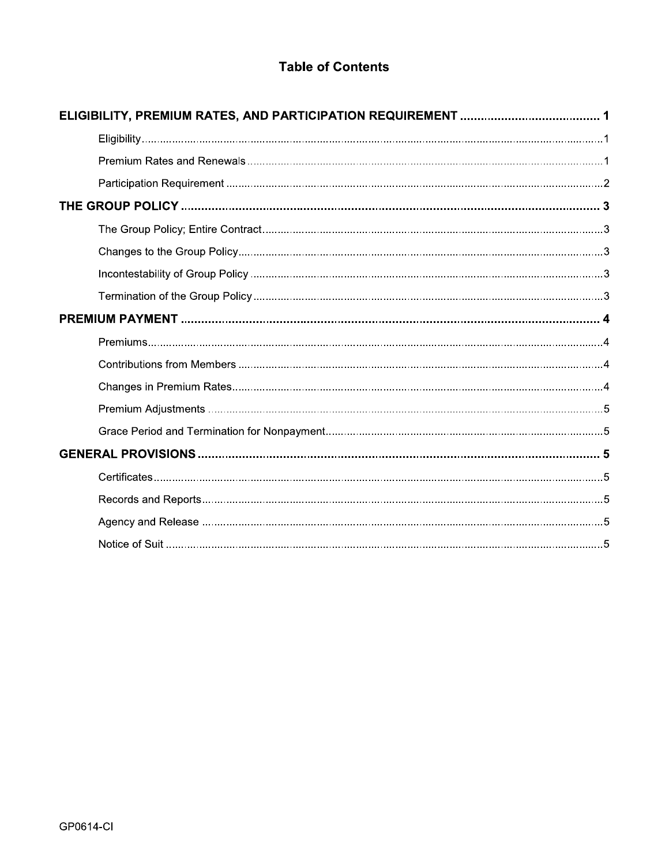# **Table of Contents**

| <b>Table of Contents</b> |  |  |  |  |
|--------------------------|--|--|--|--|
|                          |  |  |  |  |
|                          |  |  |  |  |
|                          |  |  |  |  |
|                          |  |  |  |  |
|                          |  |  |  |  |
|                          |  |  |  |  |
|                          |  |  |  |  |
|                          |  |  |  |  |
|                          |  |  |  |  |
|                          |  |  |  |  |
|                          |  |  |  |  |
|                          |  |  |  |  |
|                          |  |  |  |  |
|                          |  |  |  |  |
|                          |  |  |  |  |
|                          |  |  |  |  |
|                          |  |  |  |  |
|                          |  |  |  |  |
|                          |  |  |  |  |
|                          |  |  |  |  |
|                          |  |  |  |  |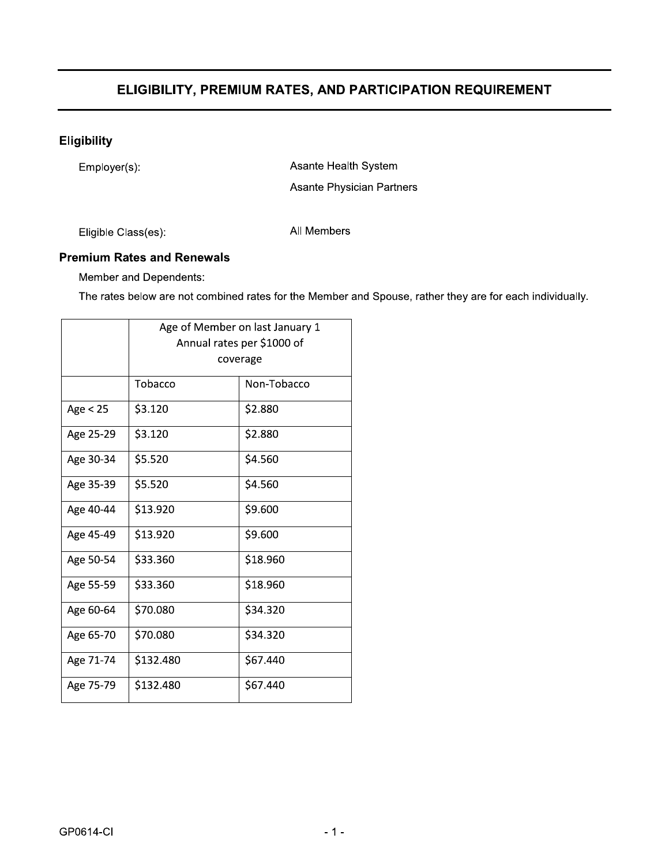# ELIGIBILITY, PREMIUM RATES, AND PARTICIPATION REQUIREMENT

# Eligibility

|                     |                                   |                                 | ELIGIBILITY, PREMIUM RATES, AND PARTICIPATION REQUIREMENT                                                |
|---------------------|-----------------------------------|---------------------------------|----------------------------------------------------------------------------------------------------------|
| <b>Eligibility</b>  |                                   |                                 |                                                                                                          |
| Employer(s):        |                                   |                                 | Asante Health System                                                                                     |
|                     |                                   |                                 | Asante Physician Partners                                                                                |
| Eligible Class(es): |                                   | All Members                     |                                                                                                          |
|                     | <b>Premium Rates and Renewals</b> |                                 |                                                                                                          |
|                     | Member and Dependents:            |                                 |                                                                                                          |
|                     |                                   |                                 | The rates below are not combined rates for the Member and Spouse, rather they are for each individually. |
|                     |                                   | Age of Member on last January 1 |                                                                                                          |
|                     |                                   | Annual rates per \$1000 of      |                                                                                                          |
|                     |                                   | coverage                        |                                                                                                          |
|                     | Tobacco                           | Non-Tobacco                     |                                                                                                          |
| Age $<$ 25          | $\overline{$}3.120$               | \$2.880                         |                                                                                                          |
| Age 25-29           | \$3.120                           | \$2.880                         |                                                                                                          |
| Age 30-34           | \$5.520                           | \$4.560                         |                                                                                                          |
| Age 35-39           | \$5.520                           | \$4.560                         |                                                                                                          |
| Age 40-44           | \$13.920                          | \$9.600                         |                                                                                                          |
| Age 45-49           | \$13.920                          | \$9.600                         |                                                                                                          |
| Age 50-54           | \$33.360                          | \$18.960                        |                                                                                                          |
| Age 55-59           | \$33.360                          | \$18.960                        |                                                                                                          |
| Age 60-64           | \$70.080                          | \$34.320                        |                                                                                                          |
| Age 65-70           | \$70.080                          | \$34.320                        |                                                                                                          |
| Age 71-74           | \$132.480                         | \$67.440                        |                                                                                                          |
| Age 75-79           | \$132.480                         | \$67.440                        |                                                                                                          |
|                     |                                   |                                 |                                                                                                          |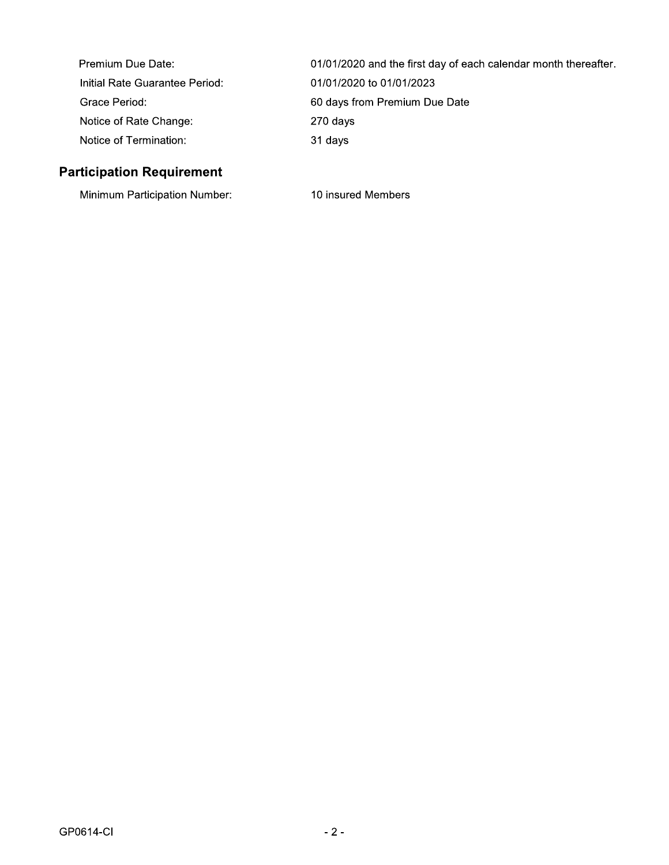| Premium Due Date:              | 01/01/2020 and the first day of each calendar month thereafter. |
|--------------------------------|-----------------------------------------------------------------|
| Initial Rate Guarantee Period: | 01/01/2020 to 01/01/2023                                        |
| Grace Period:                  | 60 days from Premium Due Date                                   |
| Notice of Rate Change:         | 270 days                                                        |
| Notice of Termination:         | 31 days                                                         |

# **Participation Requirement**

Minimum Participation Number:

10 insured Members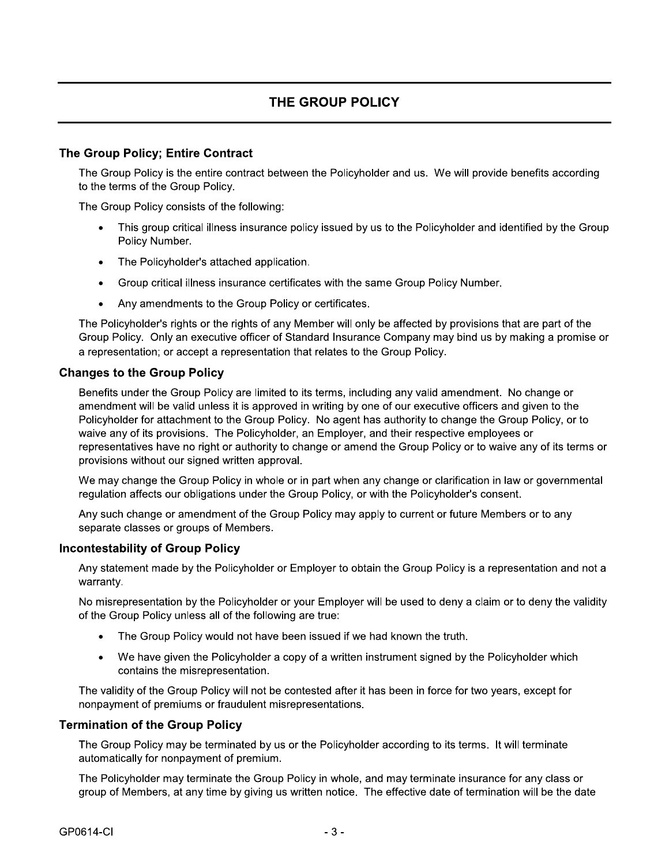### The Group Policy; Entire Contract

The Group Policy is the entire contract between the Policyholder and us. We will provide benefits according to the terms of the Group Policy.

The Group Policy consists of the following:

- This group critical illness insurance policy issued by us to the Policyholder and identified by the Group Policy Number.
- The Policyholder's attached application.  $\bullet$
- Group critical illness insurance certificates with the same Group Policy Number.  $\bullet$
- Any amendments to the Group Policy or certificates.

The Policyholder's rights or the rights of any Member will only be affected by provisions that are part of the Group Policy. Only an executive officer of Standard Insurance Company may bind us by making a promise or a representation; or accept a representation that relates to the Group Policy.

#### **Changes to the Group Policy**

Benefits under the Group Policy are limited to its terms, including any valid amendment. No change or amendment will be valid unless it is approved in writing by one of our executive officers and given to the Policyholder for attachment to the Group Policy. No agent has authority to change the Group Policy, or to waive any of its provisions. The Policyholder, an Employer, and their respective employees or representatives have no right or authority to change or amend the Group Policy or to waive any of its terms or provisions without our signed written approval.

We may change the Group Policy in whole or in part when any change or clarification in law or governmental regulation affects our obligations under the Group Policy, or with the Policyholder's consent.

Any such change or amendment of the Group Policy may apply to current or future Members or to any separate classes or groups of Members.

#### **Incontestability of Group Policy**

Any statement made by the Policyholder or Employer to obtain the Group Policy is a representation and not a warranty.

No misrepresentation by the Policyholder or your Employer will be used to deny a claim or to deny the validity of the Group Policy unless all of the following are true:

- The Group Policy would not have been issued if we had known the truth.
- We have given the Policyholder a copy of a written instrument signed by the Policyholder which contains the misrepresentation.

The validity of the Group Policy will not be contested after it has been in force for two years, except for nonpayment of premiums or fraudulent misrepresentations.

#### **Termination of the Group Policy**

The Group Policy may be terminated by us or the Policyholder according to its terms. It will terminate automatically for nonpayment of premium.

The Policyholder may terminate the Group Policy in whole, and may terminate insurance for any class or group of Members, at any time by giving us written notice. The effective date of termination will be the date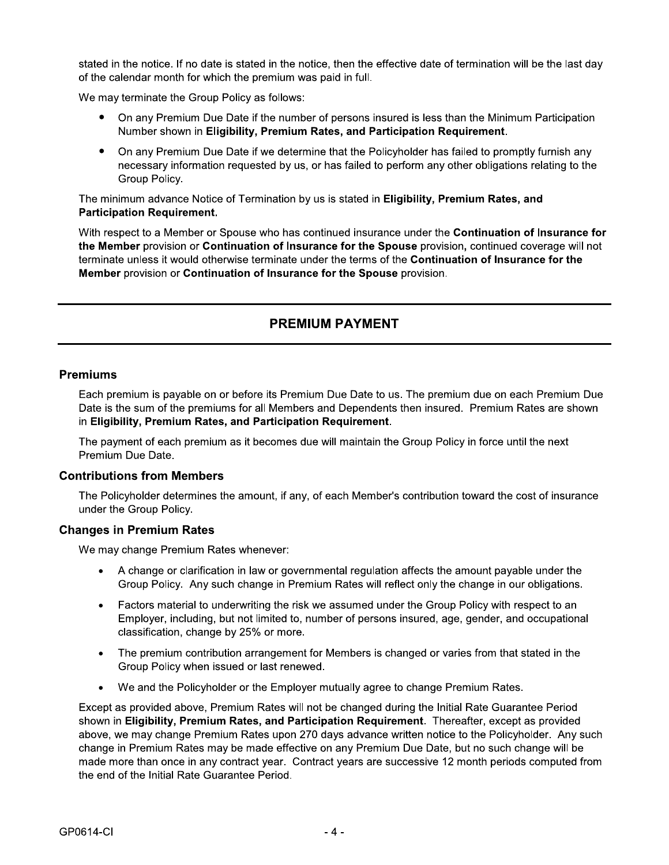stated in the notice. If no date is stated in the notice, then the effective date of termination will be the last day of the calendar month for which the premium was paid in full.

We may terminate the Group Policy as follows:

- $\bullet$ On any Premium Due Date if the number of persons insured is less than the Minimum Participation shown in Eligibility, Premium Rates, and Participation Reguirement.
- Stated in the notice. If no date is stated in the notice, then the effective date of termination will be the last day<br>
of the calendar month for which the premium was paid in full.<br>
We may terminate the Group Policy as fol  $\bullet$ On any Premium Due Date if we determine that the Policyholder has failed to promptly furnish any necessary information requested by us, or has failed to perform any other obligations relating to the Group Policy.

The minimum advance Notice of Termination by us is stated in Eligibility. Premium Rates, and Participation Requirement.

Ve may terminate the Group Policy as follows<br>
• On any Premium Due Date if the num<br>
Number shown in **Eligibility, Premiur**<br>
• On any Premium Due Date if we deter<br>
necessary information requested by u<br>
Group Policy.<br>
The mi With respect to a Member or Spouse who has continued insurance under the **Continuation of Insurance for** the Member provision or Continuation of Insurance for the Spouse provision, continued coverage will not terminate unless it would otherwise terminate under the terms of the Continuation of Insurance for the Member provision or Continuation of Insurance for the Spouse provision.

# **PREMIUM PAYMENT**

#### **Premiums**

Each premium is payable on or before its Premium Due Date to us. The premium due on each Premium Due Date is the sum of the premiums for all Members and Dependents then insured. Premium Rates are shown in Eligibility, Premium Rates, and Participation Requirement.

The payment of each premium as it becomes due will maintain the Group Policy in force until the next Premium Due Date.

#### **Contributions from Members**

The Policyholder determines the amount, if any, of each Member's contribution toward the cost of insurance  $under the <sup>2</sup>$  Group Policy.

#### **Changes in Premium Rates**

We may change Premium Rates whenever:

- $\bullet$ A change or clarification in law or governmental regulation affects the amount payable under the Group Policy. Any such change in Premium Rates will reflect only the change in our obligations.
- $\bullet$ Factors material to underwriting the risk we assumed under the Group Policy with respect to an Employer, including, but not limited to, number of persons insured, age, gender, and occupational classification, change by 25% or more.
- $\bullet$ The premium contribution arrangement for Members is changed or varies from that stated in the Group Policy when issued or last renewed.
- $\bullet$ We and the Policyholder or the Emplover mutually agree to change Premium Rates.

Except as provided above. Premium Rates will not be changed during the Initial Rate Guarantee Period shown in Eligibility, Premium Rates, and Participation Requirement. Thereafter, except as provided above, we may change Premium Rates upon 270 days advance written notice to the Policyholder. Any such change in Premium Rates may be made effective on any Premium Due Date, but no such change will be made more than once in any contract year. Contract years are successive 12 month periods computed from the end of the Initial Rate Guarantee Period.